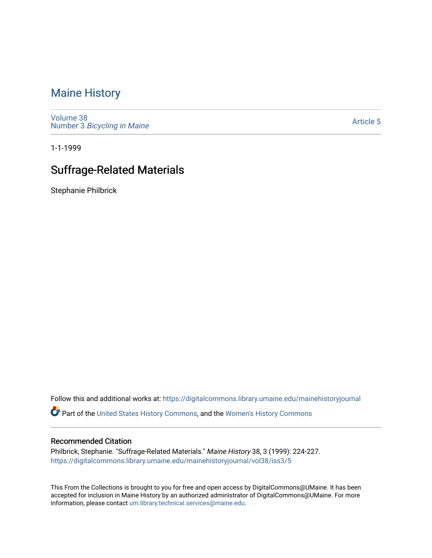## [Maine History](https://digitalcommons.library.umaine.edu/mainehistoryjournal)

[Volume 38](https://digitalcommons.library.umaine.edu/mainehistoryjournal/vol38) Number 3 [Bicycling in Maine](https://digitalcommons.library.umaine.edu/mainehistoryjournal/vol38/iss3) 

[Article 5](https://digitalcommons.library.umaine.edu/mainehistoryjournal/vol38/iss3/5) 

1-1-1999

# Suffrage-Related Materials

Stephanie Philbrick

Follow this and additional works at: [https://digitalcommons.library.umaine.edu/mainehistoryjournal](https://digitalcommons.library.umaine.edu/mainehistoryjournal?utm_source=digitalcommons.library.umaine.edu%2Fmainehistoryjournal%2Fvol38%2Fiss3%2F5&utm_medium=PDF&utm_campaign=PDFCoverPages) 

Part of the [United States History Commons,](http://network.bepress.com/hgg/discipline/495?utm_source=digitalcommons.library.umaine.edu%2Fmainehistoryjournal%2Fvol38%2Fiss3%2F5&utm_medium=PDF&utm_campaign=PDFCoverPages) and the [Women's History Commons](http://network.bepress.com/hgg/discipline/507?utm_source=digitalcommons.library.umaine.edu%2Fmainehistoryjournal%2Fvol38%2Fiss3%2F5&utm_medium=PDF&utm_campaign=PDFCoverPages)

#### Recommended Citation

Philbrick, Stephanie. "Suffrage-Related Materials." Maine History 38, 3 (1999): 224-227. [https://digitalcommons.library.umaine.edu/mainehistoryjournal/vol38/iss3/5](https://digitalcommons.library.umaine.edu/mainehistoryjournal/vol38/iss3/5?utm_source=digitalcommons.library.umaine.edu%2Fmainehistoryjournal%2Fvol38%2Fiss3%2F5&utm_medium=PDF&utm_campaign=PDFCoverPages)

This From the Collections is brought to you for free and open access by DigitalCommons@UMaine. It has been accepted for inclusion in Maine History by an authorized administrator of DigitalCommons@UMaine. For more information, please contact [um.library.technical.services@maine.edu](mailto:um.library.technical.services@maine.edu).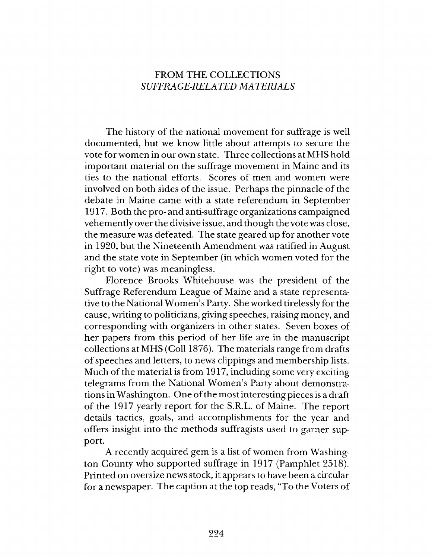### FROM THE COLLECTIONS  $SUFFRAGE-RELATED MATERIALS$

The history of the national movement for suffrage is well documented, but we know little about attempts to secure the vote for women in our own state. Three collections at MHS hold im portant material on the suffrage movement in Maine and its ties to the national efforts. Scores of men and women were involved on both sides of the issue. Perhaps the pinnacle of the debate in Maine came with a state referendum in September 1917. Both the pro- and anti-suffrage organizations campaigned vehemently over the divisive issue, and though the vote was close, the measure was defeated. The state geared up for another vote in 1920, but the Nineteenth Amendment was ratified in August and the state vote in September (in which women voted for the right to vote) was meaningless.

Florence Brooks W hitehouse was the president of the Suffrage Referendum League of Maine and a state representative to the National Women's Party. She worked tirelessly for the cause, writing to politicians, giving speeches, raising money, and corresponding with organizers in other states. Seven boxes of her papers from this period of her life are in the manuscript collections at MHS (Coll 1876). The materials range from drafts of speeches and letters, to news clippings and membership lists. Much of the material is from 1917, including some very exciting telegrams from the National Women's Party about demonstrations in W ashington. One of the most interesting pieces is a draft of the 1917 yearly report for the S.R.L. of Maine. The report details tactics, goals, and accomplishments for the year and offers insight into the methods suffragists used to garner support.

A recently acquired gem is a list of women from Washington County who supported suffrage in 1917 (Pamphlet 2518). Printed on oversize news stock, it appears to have been a circular for a newspaper. The caption at the top reads, "To the Voters of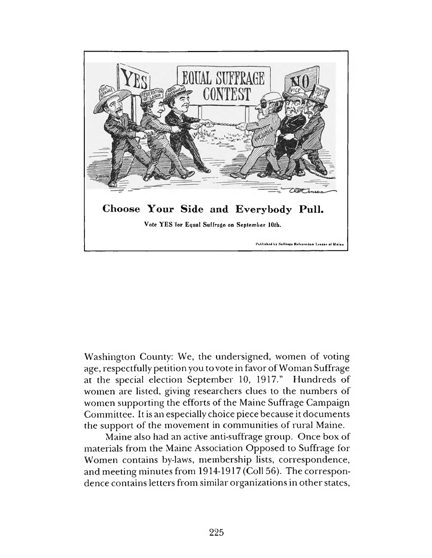

Washington County: We, the undersigned, women of voting age, respectfully petition you to vote in favor of Woman Suffrage at the special election September 10, 1917." Hundreds of women are listed, giving researchers clues to the numbers of women supporting the efforts of the Maine Suffrage Campaign Committee. It is an especially choice piece because it documents the support of the movement in communities of rural Maine.

Maine also had an active anti-suffrage group. Once box of materials from the Maine Association Opposed to Suffrage for Women contains by-laws, membership lists, correspondence, and meeting minutes from 1914-1917 (Coll 56). The correspondence contains letters from similar organizations in other states,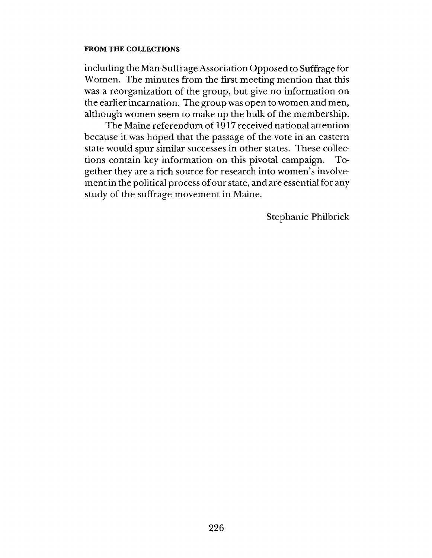#### **FROM THE COLLECTIONS**

including the Man-Suffrage Association Opposed to Suffrage for Women. The minutes from the first meeting mention that this was a reorganization of the group, but give no information on the earlier incarnation. The group was open to women and men, although women seem to make up the bulk of the membership.

The Maine referendum of 1917 received national attention because it was hoped that the passage of the vote in an eastern state would spur similar successes in other states. These collections contain key information on this pivotal campaign. Together they are a rich source for research into women's involvement in the political process of our state, and are essential for any study of the suffrage movement in Maine.

Stephanie Philbrick